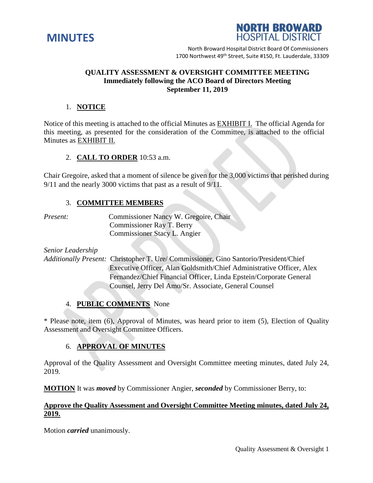



North Broward Hospital District Board Of Commissioners 1700 Northwest 49<sup>th</sup> Street, Suite #150, Ft. Lauderdale, 33309

## **QUALITY ASSESSMENT & OVERSIGHT COMMITTEE MEETING Immediately following the ACO Board of Directors Meeting September 11, 2019**

## 1. **NOTICE**

Notice of this meeting is attached to the official Minutes as EXHIBIT I. The official Agenda for this meeting, as presented for the consideration of the Committee, is attached to the official Minutes as EXHIBIT II.

#### 2. **CALL TO ORDER** 10:53 a.m.

Chair Gregoire, asked that a moment of silence be given for the 3,000 victims that perished during 9/11 and the nearly 3000 victims that past as a result of 9/11.

#### 3. **COMMITTEE MEMBERS**

*Present:* **Commissioner Nancy W. Gregoire, Chair**  Commissioner Ray T. Berry Commissioner Stacy L. Angier

*Senior Leadership*

*Additionally Present:* Christopher T. Ure/ Commissioner, Gino Santorio/President/Chief Executive Officer, Alan Goldsmith/Chief Administrative Officer, Alex Fernandez/Chief Financial Officer, Linda Epstein/Corporate General Counsel, Jerry Del Amo/Sr. Associate, General Counsel

## 4. **PUBLIC COMMENTS** None

\* Please note, item (6), Approval of Minutes, was heard prior to item (5), Election of Quality Assessment and Oversight Committee Officers.

# 6. **APPROVAL OF MINUTES**

Approval of the Quality Assessment and Oversight Committee meeting minutes, dated July 24, 2019.

**MOTION** It was *moved* by Commissioner Angier, *seconded* by Commissioner Berry, to:

# **Approve the Quality Assessment and Oversight Committee Meeting minutes, dated July 24, 2019.**

Motion *carried* unanimously.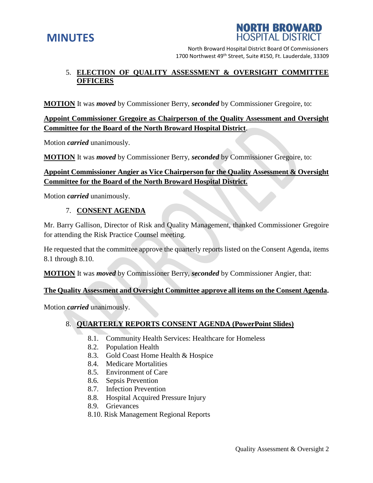



North Broward Hospital District Board Of Commissioners 1700 Northwest 49<sup>th</sup> Street, Suite #150, Ft. Lauderdale, 33309

# 5. **ELECTION OF QUALITY ASSESSMENT & OVERSIGHT COMMITTEE OFFICERS**

**MOTION** It was *moved* by Commissioner Berry, *seconded* by Commissioner Gregoire, to:

# **Appoint Commissioner Gregoire as Chairperson of the Quality Assessment and Oversight Committee for the Board of the North Broward Hospital District**.

Motion *carried* unanimously.

**MOTION** It was *moved* by Commissioner Berry, *seconded* by Commissioner Gregoire, to:

# **Appoint Commissioner Angier as Vice Chairperson for the Quality Assessment & Oversight Committee for the Board of the North Broward Hospital District.**

Motion *carried* unanimously.

# 7. **CONSENT AGENDA**

Mr. Barry Gallison, Director of Risk and Quality Management, thanked Commissioner Gregoire for attending the Risk Practice Counsel meeting.

He requested that the committee approve the quarterly reports listed on the Consent Agenda, items 8.1 through 8.10.

**MOTION** It was *moved* by Commissioner Berry, *seconded* by Commissioner Angier, that:

#### **The Quality Assessment and Oversight Committee approve all items on the Consent Agenda.**

Motion *carried* unanimously.

# 8. **QUARTERLY REPORTS CONSENT AGENDA (PowerPoint Slides)**

- 8.1. Community Health Services: Healthcare for Homeless
- 8.2. Population Health
- 8.3. Gold Coast Home Health & Hospice
- 8.4. Medicare Mortalities
- 8.5. Environment of Care
- 8.6. Sepsis Prevention
- 8.7. Infection Prevention
- 8.8. Hospital Acquired Pressure Injury
- 8.9. Grievances
- 8.10. Risk Management Regional Reports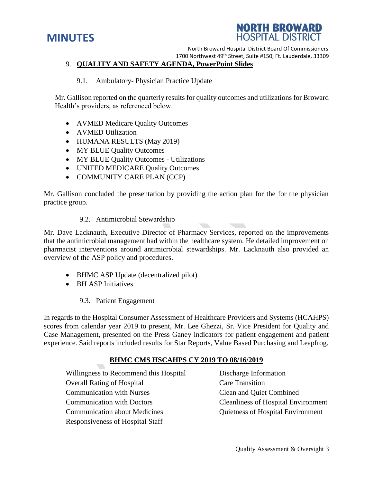# **MINUTES**



North Broward Hospital District Board Of Commissioners

1700 Northwest 49<sup>th</sup> Street, Suite #150, Ft. Lauderdale, 33309

## 9. **QUALITY AND SAFETY AGENDA, PowerPoint Slides**

#### 9.1. Ambulatory- Physician Practice Update

Mr. Gallison reported on the quarterly results for quality outcomes and utilizations for Broward Health's providers, as referenced below.

- AVMED Medicare Quality Outcomes
- AVMED Utilization
- HUMANA RESULTS (May 2019)
- MY BLUE Quality Outcomes
- MY BLUE Quality Outcomes Utilizations
- UNITED MEDICARE Quality Outcomes
- COMMUNITY CARE PLAN (CCP)

Mr. Gallison concluded the presentation by providing the action plan for the for the physician practice group.

9.2. Antimicrobial Stewardship

Mr. Dave Lacknauth, Executive Director of Pharmacy Services, reported on the improvements that the antimicrobial management had within the healthcare system. He detailed improvement on pharmacist interventions around antimicrobial stewardships. Mr. Lacknauth also provided an overview of the ASP policy and procedures.

- BHMC ASP Update (decentralized pilot)
- BH ASP Initiatives
	- 9.3. Patient Engagement

In regards to the Hospital Consumer Assessment of Healthcare Providers and Systems (HCAHPS) scores from calendar year 2019 to present, Mr. Lee Ghezzi, Sr. Vice President for Quality and Case Management, presented on the Press Ganey indicators for patient engagement and patient experience. Said reports included results for Star Reports, Value Based Purchasing and Leapfrog.

## **BHMC CMS HSCAHPS CY 2019 TO 08/16/2019**

Willingness to Recommend this Hospital Discharge Information Overall Rating of Hospital Care Transition Communication with Nurses Clean and Quiet Combined Communication with Doctors Cleanliness of Hospital Environment Communication about Medicines Quietness of Hospital Environment Responsiveness of Hospital Staff